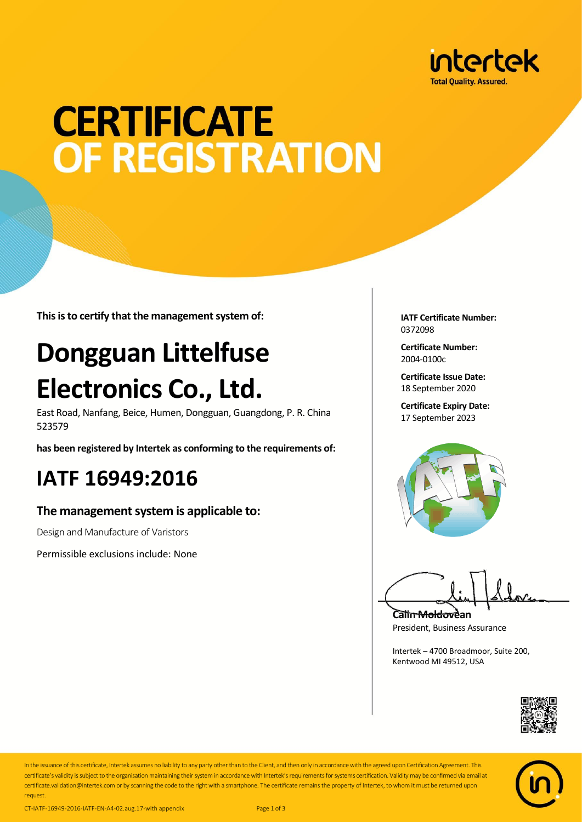

# **CERTIFICATE OF REGISTRATION**

**This is to certify that the management system of:**

## **Dongguan Littelfuse Electronics Co., Ltd.**

East Road, Nanfang, Beice, Humen, Dongguan, Guangdong, P. R. China 523579

**has been registered by Intertek as conforming to the requirements of:**

### **IATF 16949:2016**

#### **The management system is applicable to:**

Design and Manufacture of Varistors

Permissible exclusions include: None

**IATF Certificate Number:** 0372098

**Certificate Number:** 2004-0100c

**Certificate Issue Date:** 18 September 2020

**Certificate Expiry Date:** 17 September 2023



**Calin Moldovean** President, Business Assurance

Intertek – 4700 Broadmoor, Suite 200, Kentwood MI 49512, USA





In the issuance of this certificate, Intertek assumes no liability to any party other than to the Client, and then only in accordance with the agreed upon Certification Agreement. This certificate's validity is subject to the organisation maintaining their system in accordance with Intertek's requirements for systems certification. Validity may be confirmed via email at certificate.validation@intertek.com or by scanning the code to the right with a smartphone. The certificate remains the property of Intertek, to whom it must be returned upon request.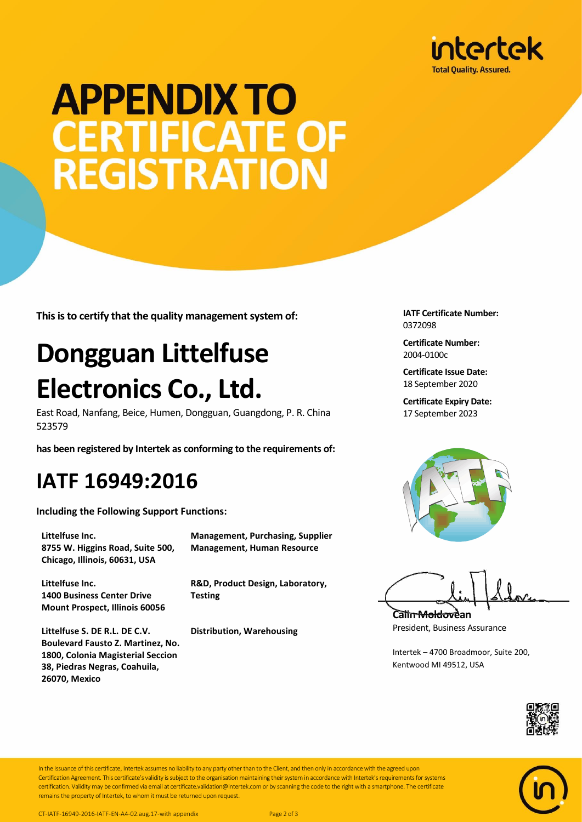

## **APPENDIX TO CERTIFICATE OF REGISTRATION**

**This is to certify that the quality management system of:**

### **Dongguan Littelfuse Electronics Co., Ltd.**

East Road, Nanfang, Beice, Humen, Dongguan, Guangdong, P. R. China 523579

**has been registered by Intertek as conforming to the requirements of:**

#### **IATF 16949:2016**

**Including the Following Support Functions:**

**Littelfuse Inc. 8755 W. Higgins Road, Suite 500, Chicago, Illinois, 60631, USA**

**Littelfuse Inc. 1400 Business Center Drive Mount Prospect, Illinois 60056**

**Littelfuse S. DE R.L. DE C.V. Boulevard Fausto Z. Martinez, No. 1800, Colonia Magisterial Seccion 38, Piedras Negras, Coahuila, 26070, Mexico**

**Management, Purchasing, Supplier Management, Human Resource**

**R&D, Product Design, Laboratory, Testing**

**Distribution, Warehousing**

**IATF Certificate Number:** 0372098

**Certificate Number:** 2004-0100c

**Certificate Issue Date:** 18 September 2020

**Certificate Expiry Date:** 17 September 2023



**Calin Moldovean** President, Business Assurance

Intertek – 4700 Broadmoor, Suite 200, Kentwood MI 49512, USA





In the issuance of this certificate, Intertek assumes no liability to any party other than to the Client, and then only in accordance with the agreed upon Certification Agreement. This certificate's validity is subject to the organisation maintaining their system in accordance with Intertek's requirements for systems certification. Validity may be confirmed via email at certificate.validation@intertek.com or by scanning the code to the right with a smartphone. The certificate remains the property of Intertek, to whom it must be returned upon request.